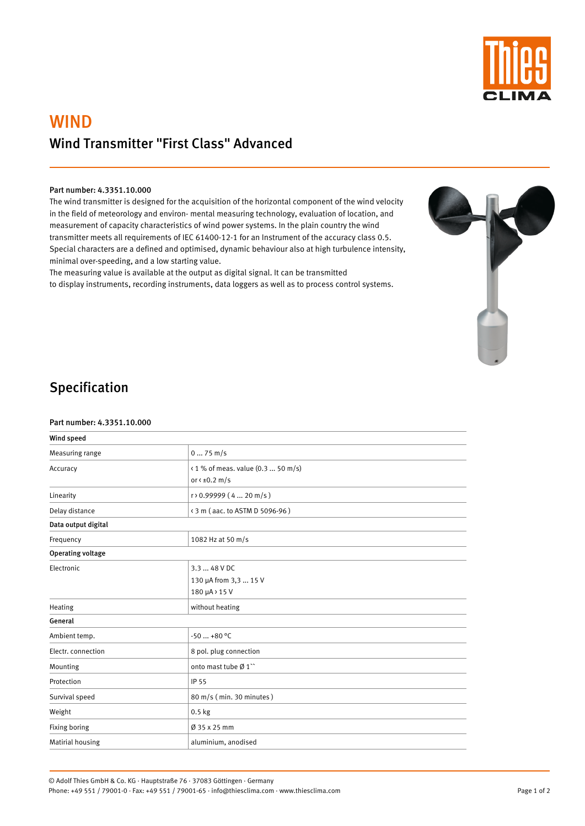

# WIND Wind Transmitter "First Class" Advanced

#### Part number: 4.3351.10.000

The wind transmitter is designed for the acquisition of the horizontal component of the wind velocity in the field of meteorology and environ- mental measuring technology, evaluation of location, and measurement of capacity characteristics of wind power systems. In the plain country the wind transmitter meets all requirements of IEC 61400-12-1 for an Instrument of the accuracy class 0.5. Special characters are a defined and optimised, dynamic behaviour also at high turbulence intensity, minimal over-speeding, and a low starting value.

The measuring value is available at the output as digital signal. It can be transmitted to display instruments, recording instruments, data loggers as well as to process control systems.



# Specification

#### Part number: 4.3351.10.000

| Wind speed               |                                                             |  |
|--------------------------|-------------------------------------------------------------|--|
| Measuring range          | $075$ m/s                                                   |  |
| Accuracy                 | < 1 % of meas. value (0.3  50 m/s)<br>or $\leq \pm 0.2$ m/s |  |
| Linearity                | $r$ > 0.99999 (4  20 m/s)                                   |  |
| Delay distance           | < 3 m (aac. to ASTM D 5096-96)                              |  |
| Data output digital      |                                                             |  |
| Frequency                | 1082 Hz at 50 m/s                                           |  |
| <b>Operating voltage</b> |                                                             |  |
| Electronic               | 3.3  48 V DC<br>130 µA from 3,3  15 V<br>180 µA > 15 V      |  |
| Heating                  | without heating                                             |  |
| $\sim$ $\sim$ $\sim$     |                                                             |  |

General

| Ambient temp.      | $-50+80$ °C                                |  |
|--------------------|--------------------------------------------|--|
| Electr. connection | 8 pol. plug connection                     |  |
| Mounting           | onto mast tube $\emptyset$ 1 <sup>**</sup> |  |
| Protection         | IP 55                                      |  |
| Survival speed     | 80 m/s (min. 30 minutes)                   |  |
| Weight             | $0.5$ kg                                   |  |
| Fixing boring      | $\varnothing$ 35 x 25 mm                   |  |
| Matirial housing   | aluminium, anodised                        |  |

© Adolf Thies GmbH & Co. KG · Hauptstraße 76 · 37083 Göttingen · Germany Phone: +49 551 / 79001-0 · Fax: +49 551 / 79001-65 · info@thiesclima.com · www.thiesclima.com